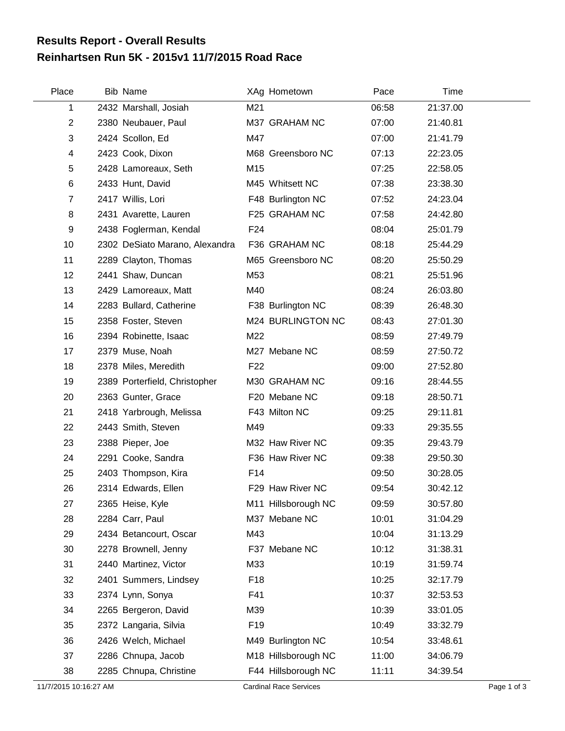## **Reinhartsen Run 5K - 2015v1 11/7/2015 Road Race Results Report - Overall Results**

| Place                 | <b>Bib Name</b>                |                 | XAg Hometown                  | Pace  | Time     |             |
|-----------------------|--------------------------------|-----------------|-------------------------------|-------|----------|-------------|
| 1                     | 2432 Marshall, Josiah          | M21             |                               | 06:58 | 21:37.00 |             |
| $\overline{2}$        | 2380 Neubauer, Paul            |                 | M37 GRAHAM NC                 | 07:00 | 21:40.81 |             |
| 3                     | 2424 Scollon, Ed               | M47             |                               | 07:00 | 21:41.79 |             |
| 4                     | 2423 Cook, Dixon               |                 | M68 Greensboro NC             | 07:13 | 22:23.05 |             |
| 5                     | 2428 Lamoreaux, Seth           | M15             |                               | 07:25 | 22:58.05 |             |
| 6                     | 2433 Hunt, David               |                 | M45 Whitsett NC               | 07:38 | 23:38.30 |             |
| $\overline{7}$        | 2417 Willis, Lori              |                 | F48 Burlington NC             | 07:52 | 24:23.04 |             |
| 8                     | 2431 Avarette, Lauren          |                 | F25 GRAHAM NC                 | 07:58 | 24:42.80 |             |
| 9                     | 2438 Foglerman, Kendal         | F <sub>24</sub> |                               | 08:04 | 25:01.79 |             |
| 10                    | 2302 DeSiato Marano, Alexandra |                 | F36 GRAHAM NC                 | 08:18 | 25:44.29 |             |
| 11                    | 2289 Clayton, Thomas           |                 | M65 Greensboro NC             | 08:20 | 25:50.29 |             |
| 12                    | 2441 Shaw, Duncan              | M53             |                               | 08:21 | 25:51.96 |             |
| 13                    | 2429 Lamoreaux, Matt           | M40             |                               | 08:24 | 26:03.80 |             |
| 14                    | 2283 Bullard, Catherine        |                 | F38 Burlington NC             | 08:39 | 26:48.30 |             |
| 15                    | 2358 Foster, Steven            |                 | M24 BURLINGTON NC             | 08:43 | 27:01.30 |             |
| 16                    | 2394 Robinette, Isaac          | M22             |                               | 08:59 | 27:49.79 |             |
| 17                    | 2379 Muse, Noah                |                 | M27 Mebane NC                 | 08:59 | 27:50.72 |             |
| 18                    | 2378 Miles, Meredith           | F <sub>22</sub> |                               | 09:00 | 27:52.80 |             |
| 19                    | 2389 Porterfield, Christopher  |                 | M30 GRAHAM NC                 | 09:16 | 28:44.55 |             |
| 20                    | 2363 Gunter, Grace             |                 | F20 Mebane NC                 | 09:18 | 28:50.71 |             |
| 21                    | 2418 Yarbrough, Melissa        |                 | F43 Milton NC                 | 09:25 | 29:11.81 |             |
| 22                    | 2443 Smith, Steven             | M49             |                               | 09:33 | 29:35.55 |             |
| 23                    | 2388 Pieper, Joe               |                 | M32 Haw River NC              | 09:35 | 29:43.79 |             |
| 24                    | 2291 Cooke, Sandra             |                 | F36 Haw River NC              | 09:38 | 29:50.30 |             |
| 25                    | 2403 Thompson, Kira            | F14             |                               | 09:50 | 30:28.05 |             |
| 26                    | 2314 Edwards, Ellen            |                 | F29 Haw River NC              | 09:54 | 30:42.12 |             |
| 27                    | 2365 Heise, Kyle               |                 | M11 Hillsborough NC           | 09:59 | 30:57.80 |             |
| 28                    | 2284 Carr, Paul                |                 | M37 Mebane NC                 | 10:01 | 31:04.29 |             |
| 29                    | 2434 Betancourt, Oscar         | M43             |                               | 10:04 | 31:13.29 |             |
| 30                    | 2278 Brownell, Jenny           |                 | F37 Mebane NC                 | 10:12 | 31:38.31 |             |
| 31                    | 2440 Martinez, Victor          | M33             |                               | 10:19 | 31:59.74 |             |
| 32                    | 2401 Summers, Lindsey          | F <sub>18</sub> |                               | 10:25 | 32:17.79 |             |
| 33                    | 2374 Lynn, Sonya               | F41             |                               | 10:37 | 32:53.53 |             |
| 34                    | 2265 Bergeron, David           | M39             |                               | 10:39 | 33:01.05 |             |
| 35                    | 2372 Langaria, Silvia          | F <sub>19</sub> |                               | 10:49 | 33:32.79 |             |
| 36                    | 2426 Welch, Michael            |                 | M49 Burlington NC             | 10:54 | 33:48.61 |             |
| 37                    | 2286 Chnupa, Jacob             |                 | M18 Hillsborough NC           | 11:00 | 34:06.79 |             |
| 38                    | 2285 Chnupa, Christine         |                 | F44 Hillsborough NC           | 11:11 | 34:39.54 |             |
| 11/7/2015 10:16:27 AM |                                |                 | <b>Cardinal Race Services</b> |       |          | Page 1 of 3 |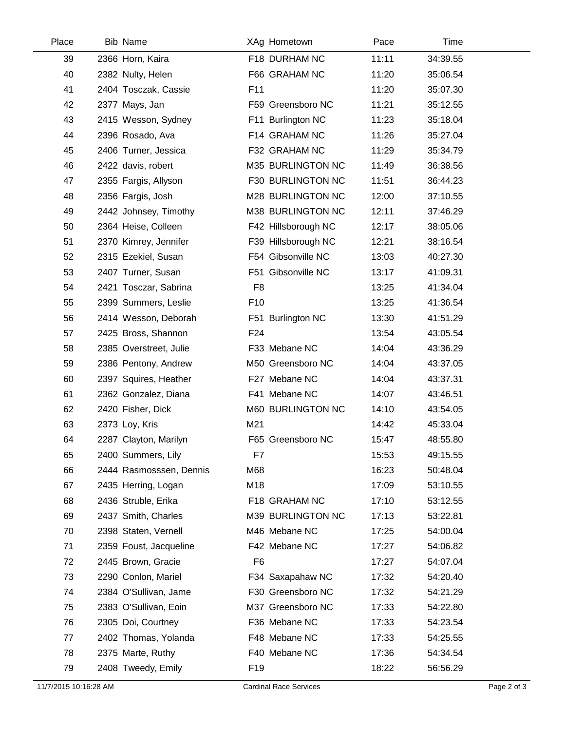| Place | <b>Bib Name</b>         |                 | XAg Hometown        | Pace  | Time     |  |
|-------|-------------------------|-----------------|---------------------|-------|----------|--|
| 39    | 2366 Horn, Kaira        |                 | F18 DURHAM NC       | 11:11 | 34:39.55 |  |
| 40    | 2382 Nulty, Helen       |                 | F66 GRAHAM NC       | 11:20 | 35:06.54 |  |
| 41    | 2404 Tosczak, Cassie    | F <sub>11</sub> |                     | 11:20 | 35:07.30 |  |
| 42    | 2377 Mays, Jan          |                 | F59 Greensboro NC   | 11:21 | 35:12.55 |  |
| 43    | 2415 Wesson, Sydney     |                 | F11 Burlington NC   | 11:23 | 35:18.04 |  |
| 44    | 2396 Rosado, Ava        |                 | F14 GRAHAM NC       | 11:26 | 35:27.04 |  |
| 45    | 2406 Turner, Jessica    |                 | F32 GRAHAM NC       | 11:29 | 35:34.79 |  |
| 46    | 2422 davis, robert      |                 | M35 BURLINGTON NC   | 11:49 | 36:38.56 |  |
| 47    | 2355 Fargis, Allyson    |                 | F30 BURLINGTON NC   | 11:51 | 36:44.23 |  |
| 48    | 2356 Fargis, Josh       |                 | M28 BURLINGTON NC   | 12:00 | 37:10.55 |  |
| 49    | 2442 Johnsey, Timothy   |                 | M38 BURLINGTON NC   | 12:11 | 37:46.29 |  |
| 50    | 2364 Heise, Colleen     |                 | F42 Hillsborough NC | 12:17 | 38:05.06 |  |
| 51    | 2370 Kimrey, Jennifer   |                 | F39 Hillsborough NC | 12:21 | 38:16.54 |  |
| 52    | 2315 Ezekiel, Susan     |                 | F54 Gibsonville NC  | 13:03 | 40:27.30 |  |
| 53    | 2407 Turner, Susan      |                 | F51 Gibsonville NC  | 13:17 | 41:09.31 |  |
| 54    | 2421 Tosczar, Sabrina   | F <sub>8</sub>  |                     | 13:25 | 41:34.04 |  |
| 55    | 2399 Summers, Leslie    | F <sub>10</sub> |                     | 13:25 | 41:36.54 |  |
| 56    | 2414 Wesson, Deborah    |                 | F51 Burlington NC   | 13:30 | 41:51.29 |  |
| 57    | 2425 Bross, Shannon     | F <sub>24</sub> |                     | 13:54 | 43:05.54 |  |
| 58    | 2385 Overstreet, Julie  |                 | F33 Mebane NC       | 14:04 | 43:36.29 |  |
| 59    | 2386 Pentony, Andrew    |                 | M50 Greensboro NC   | 14:04 | 43:37.05 |  |
| 60    | 2397 Squires, Heather   |                 | F27 Mebane NC       | 14:04 | 43:37.31 |  |
| 61    | 2362 Gonzalez, Diana    |                 | F41 Mebane NC       | 14:07 | 43:46.51 |  |
| 62    | 2420 Fisher, Dick       |                 | M60 BURLINGTON NC   | 14:10 | 43:54.05 |  |
| 63    | 2373 Loy, Kris          | M21             |                     | 14:42 | 45:33.04 |  |
| 64    | 2287 Clayton, Marilyn   |                 | F65 Greensboro NC   | 15:47 | 48:55.80 |  |
| 65    | 2400 Summers, Lily      | F7              |                     | 15:53 | 49:15.55 |  |
| 66    | 2444 Rasmosssen, Dennis | M68             |                     | 16:23 | 50:48.04 |  |
| 67    | 2435 Herring, Logan     | M18             |                     | 17:09 | 53:10.55 |  |
| 68    | 2436 Struble, Erika     |                 | F18 GRAHAM NC       | 17:10 | 53:12.55 |  |
| 69    | 2437 Smith, Charles     |                 | M39 BURLINGTON NC   | 17:13 | 53:22.81 |  |
| 70    | 2398 Staten, Vernell    |                 | M46 Mebane NC       | 17:25 | 54:00.04 |  |
| 71    | 2359 Foust, Jacqueline  |                 | F42 Mebane NC       | 17:27 | 54:06.82 |  |
| 72    | 2445 Brown, Gracie      | F <sub>6</sub>  |                     | 17:27 | 54:07.04 |  |
| 73    | 2290 Conlon, Mariel     |                 | F34 Saxapahaw NC    | 17:32 | 54:20.40 |  |
| 74    | 2384 O'Sullivan, Jame   |                 | F30 Greensboro NC   | 17:32 | 54:21.29 |  |
| 75    | 2383 O'Sullivan, Eoin   |                 | M37 Greensboro NC   | 17:33 | 54:22.80 |  |
| 76    | 2305 Doi, Courtney      |                 | F36 Mebane NC       | 17:33 | 54:23.54 |  |
| 77    | 2402 Thomas, Yolanda    |                 | F48 Mebane NC       | 17:33 | 54:25.55 |  |
| 78    | 2375 Marte, Ruthy       |                 | F40 Mebane NC       | 17:36 | 54:34.54 |  |
| 79    | 2408 Tweedy, Emily      | F <sub>19</sub> |                     | 18:22 | 56:56.29 |  |